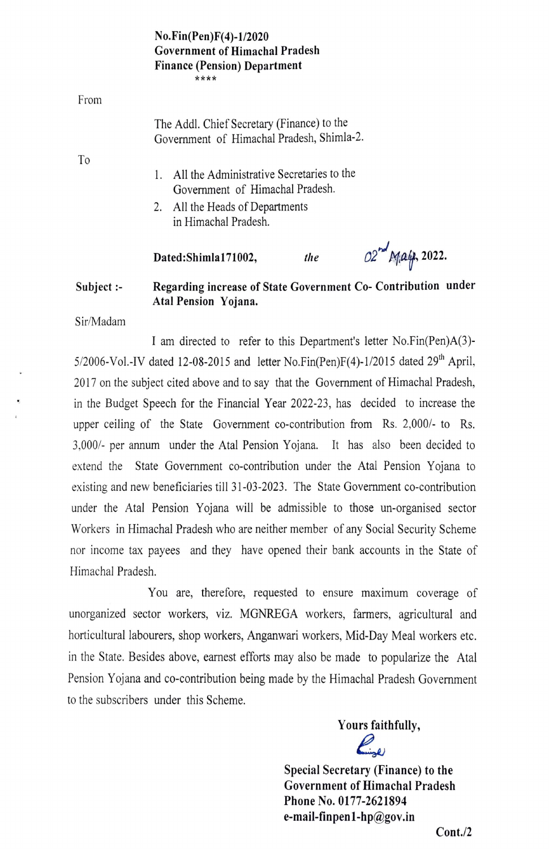## $No. Fin (Pen)F(4) - 1/2020$ Government of Himachal Pradesh Finance (Pension) Department \*\*\*\*

From

To

- 1. All the Administrative Secretaries to the Government of Himachal Pradesh.
- 2. All the Heads of Departments in Himachal Pradesh.

Dated:Shimla171002, *the*  $O2^{nd}$  *M<sub>1</sub>at<sub>p</sub>*, 2022.

## Subject :- Regarding increase of State Government Co- Contribution under Atal Pension Yojana.

Sir/Madam

I am directed to refer to this Department's letter No.Fin(Pen)A(3)- 5/2006-Vol.-IV dated 12-08-2015 and letter No.Fin(Pen)F(4)-1/2015 dated  $29<sup>th</sup>$  April, 2017 on the subject cited above and to say that the Government of Himachal Pradesh, in the Budget Speech for the Financial Year 2022-23, has decided to increase the upper ceiling of the State Government co-contribution from Rs.  $2,000/$ - to Rs. 3,0001- per annum under the Atal Pension Yojana. It has also been decided to extend the State Government co-contribution under the Atal Pension Yojana to existing and new beneficiaries till 31-03-2023. The State Government co-contribution under the Atal Pension Yojana will be admissible to those un-organised sector Workers in Himachal Pradesh who are neither member of any Social Security Scheme nor income tax payees and they have opened their bank accounts in the State of Himachal Pradesh.

You are, therefore, requested to ensure maximum coverage of unorganized sector workers, viz. MGNREGA workers, farmers, agricultural and horticultural labourers, shop workers, Anganwari workers, Mid-Day Meal workers etc. in the State. Besides above, earnest efforts may also be made to popularize the Atal Pension Yojana and co-contribution being made by the Himachal Pradesh Government to the subscribers under this Scheme.

> Yours faithfully, Ringer

Special Secretary (Finance) to the Government of Himachal Pradesh Phone No. 0177-2621894 e-mail-finpenl-hp@gov.in